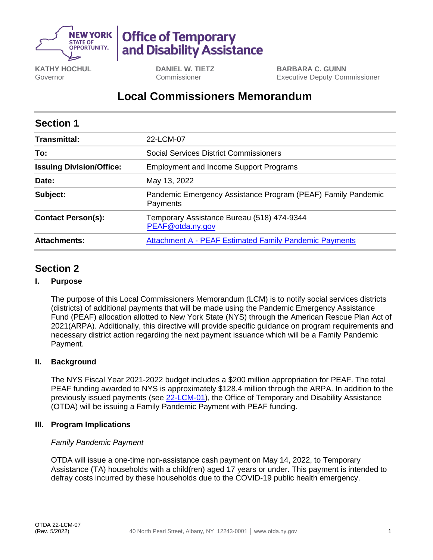

# **Office of Temporary** and Disability Assistance

**KATHY HOCHUL** Governor

**DANIEL W. TIETZ** Commissioner

**BARBARA C. GUINN** Executive Deputy Commissioner

## **Local Commissioners Memorandum**

| <b>Section 1</b>                |                                                                          |
|---------------------------------|--------------------------------------------------------------------------|
| Transmittal:                    | 22-LCM-07                                                                |
| To:                             | Social Services District Commissioners                                   |
| <b>Issuing Division/Office:</b> | <b>Employment and Income Support Programs</b>                            |
| Date:                           | May 13, 2022                                                             |
| Subject:                        | Pandemic Emergency Assistance Program (PEAF) Family Pandemic<br>Payments |
| <b>Contact Person(s):</b>       | Temporary Assistance Bureau (518) 474-9344<br>PEAF@otda.ny.gov           |
| <b>Attachments:</b>             | <b>Attachment A - PEAF Estimated Family Pandemic Payments</b>            |

## **Section 2**

#### **I. Purpose**

The purpose of this Local Commissioners Memorandum (LCM) is to notify social services districts (districts) of additional payments that will be made using the Pandemic Emergency Assistance Fund (PEAF) allocation allotted to New York State (NYS) through the American Rescue Plan Act of 2021(ARPA). Additionally, this directive will provide specific guidance on program requirements and necessary district action regarding the next payment issuance which will be a Family Pandemic Payment.

#### **II. Background**

The NYS Fiscal Year 2021-2022 budget includes a \$200 million appropriation for PEAF. The total PEAF funding awarded to NYS is approximately \$128.4 million through the ARPA. In addition to the previously issued payments (see [22-LCM-01\)](https://otda.ny.gov/policy/directives/2022/LCM/22-LCM-01.pdf), the Office of Temporary and Disability Assistance (OTDA) will be issuing a Family Pandemic Payment with PEAF funding.

#### **III. Program Implications**

#### *Family Pandemic Payment*

OTDA will issue a one-time non-assistance cash payment on May 14, 2022, to Temporary Assistance (TA) households with a child(ren) aged 17 years or under. This payment is intended to defray costs incurred by these households due to the COVID-19 public health emergency.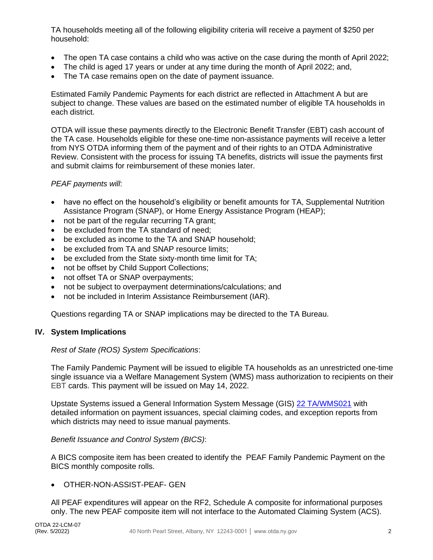TA households meeting all of the following eligibility criteria will receive a payment of \$250 per household:

- The open TA case contains a child who was active on the case during the month of April 2022;
- The child is aged 17 years or under at any time during the month of April 2022; and,
- The TA case remains open on the date of payment issuance.

Estimated Family Pandemic Payments for each district are reflected in Attachment A but are subject to change. These values are based on the estimated number of eligible TA households in each district.

OTDA will issue these payments directly to the Electronic Benefit Transfer (EBT) cash account of the TA case. Households eligible for these one-time non-assistance payments will receive a letter from NYS OTDA informing them of the payment and of their rights to an OTDA Administrative Review. Consistent with the process for issuing TA benefits, districts will issue the payments first and submit claims for reimbursement of these monies later.

#### *PEAF payments will*:

- have no effect on the household's eligibility or benefit amounts for TA, Supplemental Nutrition Assistance Program (SNAP), or Home Energy Assistance Program (HEAP);
- not be part of the regular recurring TA grant;
- be excluded from the TA standard of need;
- be excluded as income to the TA and SNAP household;
- be excluded from TA and SNAP resource limits;
- be excluded from the State sixty-month time limit for TA;
- not be offset by Child Support Collections;
- not offset TA or SNAP overpayments;
- not be subject to overpayment determinations/calculations; and
- not be included in Interim Assistance Reimbursement (IAR).

Questions regarding TA or SNAP implications may be directed to the TA Bureau.

#### **IV. System Implications**

#### *Rest of State (ROS) System Specifications*:

The Family Pandemic Payment will be issued to eligible TA households as an unrestricted one-time single issuance via a Welfare Management System (WMS) mass authorization to recipients on their EBT cards. This payment will be issued on May 14, 2022.

Upstate Systems issued a General Information System Message (GIS) [22 TA/WMS021](http://otda.state.nyenet/dta/resources/GIS/2022/22WMS021.pdf) with detailed information on payment issuances, special claiming codes, and exception reports from which districts may need to issue manual payments.

*Benefit Issuance and Control System (BICS)*:

A BICS composite item has been created to identify the PEAF Family Pandemic Payment on the BICS monthly composite rolls.

#### • OTHER-NON-ASSIST-PEAF- GEN

All PEAF expenditures will appear on the RF2, Schedule A composite for informational purposes only. The new PEAF composite item will not interface to the Automated Claiming System (ACS).